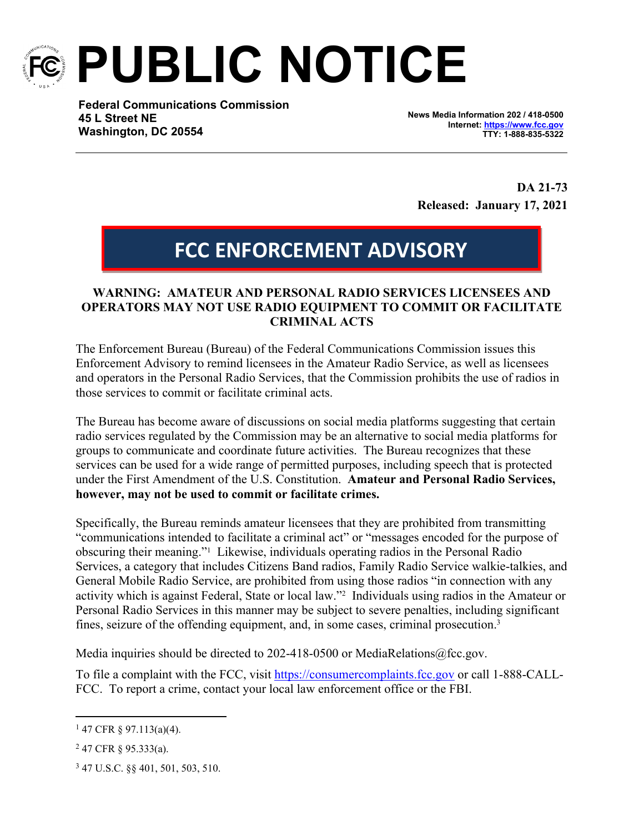

**PUBLIC NOTICE**

**Federal Communications Commission 45 L Street NE Washington, DC 20554**

**News Media Information 202 / 418-0500 Internet:<https://www.fcc.gov> TTY: 1-888-835-5322**

**DA 21-73 Released: January 17, 2021**

## **FCC ENFORCEMENT ADVISORY**

## **WARNING: AMATEUR AND PERSONAL RADIO SERVICES LICENSEES AND OPERATORS MAY NOT USE RADIO EQUIPMENT TO COMMIT OR FACILITATE CRIMINAL ACTS**

The Enforcement Bureau (Bureau) of the Federal Communications Commission issues this Enforcement Advisory to remind licensees in the Amateur Radio Service, as well as licensees and operators in the Personal Radio Services, that the Commission prohibits the use of radios in those services to commit or facilitate criminal acts.

The Bureau has become aware of discussions on social media platforms suggesting that certain radio services regulated by the Commission may be an alternative to social media platforms for groups to communicate and coordinate future activities. The Bureau recognizes that these services can be used for a wide range of permitted purposes, including speech that is protected under the First Amendment of the U.S. Constitution. **Amateur and Personal Radio Services, however, may not be used to commit or facilitate crimes.**

Specifically, the Bureau reminds amateur licensees that they are prohibited from transmitting "communications intended to facilitate a criminal act" or "messages encoded for the purpose of obscuring their meaning."<sup>1</sup> Likewise, individuals operating radios in the Personal Radio Services, a category that includes Citizens Band radios, Family Radio Service walkie-talkies, and General Mobile Radio Service, are prohibited from using those radios "in connection with any activity which is against Federal, State or local law."<sup>2</sup> Individuals using radios in the Amateur or Personal Radio Services in this manner may be subject to severe penalties, including significant fines, seizure of the offending equipment, and, in some cases, criminal prosecution.<sup>3</sup>

Media inquiries should be directed to 202-418-0500 or MediaRelations@fcc.gov.

To file a complaint with the FCC, visit <https://consumercomplaints.fcc.gov> or call 1-888-CALL-FCC. To report a crime, contact your local law enforcement office or the FBI.

 $147$  CFR § 97.113(a)(4).

 $247$  CFR § 95.333(a).

<sup>3</sup> 47 U.S.C. §§ 401, 501, 503, 510.